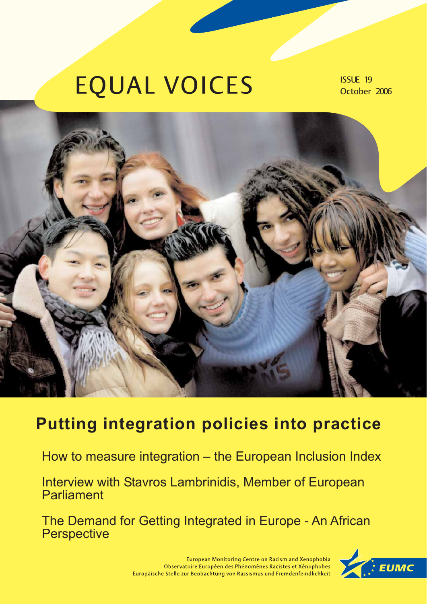# **EQUAL VOICES**

ISSUE 19 October 2006



## **Putting integration policies into practice**

How to measure integration – the European Inclusion Index

Interview with Stavros Lambrinidis, Member of European **Parliament** 

The Demand for Getting Integrated in Europe - An African **Perspective** 



European Monitoring Centre on Racism and Xenophobia Observatoire Européen des Phénomènes Racistes et Xénophobes Europäische Stelle zur Beobachtung von Rassismus und Fremdenfeindlichkeit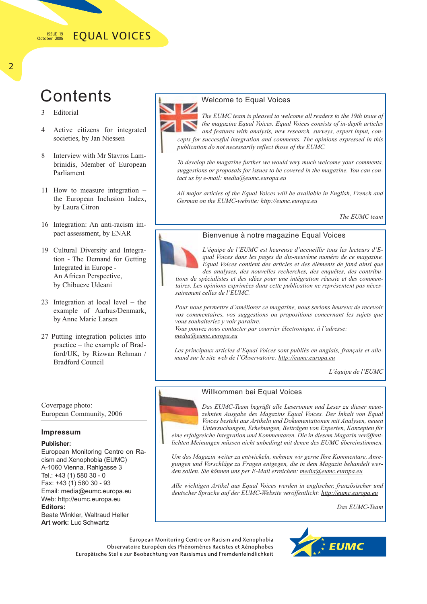#### ISSUE 19 **EQUAL VOICES** October 2006

## **Contents**

- 3 Editorial
- 4 Active citizens for integrated societies, by Jan Niessen
- 8 Interview with Mr Stavros Lambrinidis, Member of European Parliament
- 11 How to measure integration the European Inclusion Index, by Laura Citron
- 16 Integration: An anti-racism impact assessment, by ENAR
- 19 Cultural Diversity and Integration - The Demand for Getting Integrated in Europe - An African Perspective, by Chibueze Udeani
- 23 Integration at local level the example of Aarhus/Denmark, by Anne Marie Larsen
- 27 Putting integration policies into practice – the example of Bradford/UK, by Rizwan Rehman / Bradford Council

Coverpage photo: European Community, 2006

### **Impressum**

## **Publisher:**

European Monitoring Centre on Racism and Xenophobia (EUMC) A-1060 Vienna, Rahlgasse 3 Tel.: +43 (1) 580 30 - 0 Fax: +43 (1) 580 30 - 93 Email: media@eumc.europa.eu Web: http://eumc.europa.eu **Editors:** Beate Winkler, Waltraud Heller **Art work:** Luc Schwartz



## Welcome to Equal Voices

*The EUMC team is pleased to welcome all readers to the 19th issue of the magazine Equal Voices. Equal Voices consists of in-depth articles and features with analysis, new research, surveys, expert input, concepts for successful integration and comments. The opinions expressed in this publication do not necessarily reflect those of the EUMC.*

*To develop the magazine further we would very much welcome your comments, suggestions or proposals for issues to be covered in the magazine. You can contact us by e-mail: media@eumc.europa.eu*

*All major articles of the Equal Voices will be available in English, French and German on the EUMC-website: http://eumc.europa.eu*

*The EUMC team*



Bienvenue à notre magazine Equal Voices

*L'équipe de l'EUMC est heureuse d'accueillir tous les lecteurs d'Equal Voices dans les pages du dix-neuvème numéro de ce magazine. Equal Voices contient des articles et des éléments de fond ainsi que des analyses, des nouvelles recherches, des enquêtes, des contribu-*

*tions de spécialistes et des idées pour une intégration réussie et des commentaires. Les opinions exprimées dans cette publication ne représentent pas nécessairement celles de l'EUMC.* 

*Pour nous permettre d'améliorer ce magazine, nous serions heureux de recevoir vos commentaires, vos suggestions ou propositions concernant les sujets que vous souhaiteriez y voir paraître.* 

*Vous pouvez nous contacter par courrier électronique, à l'adresse: media@eumc.europa.eu*

*Les principaux articles d'Equal Voices sont publiés en anglais, français et allemand sur le site web de l'Observatoire: http://eumc.europa.eu*

*L'équipe de l'EUMC* 



### Willkommen bei Equal Voices

*Das EUMC-Team begrüßt alle Leserinnen und Leser zu dieser neunzehnten Ausgabe des Magazins Equal Voices. Der Inhalt von Equal Voices besteht aus Artikeln und Dokumentationen mit Analysen, neuen Untersuchungen, Erhebungen, Beiträgen von Experten, Konzepten für*

*eine erfolgreiche Integration und Kommentaren. Die in diesem Magazin veröffentlichten Meinungen müssen nicht unbedingt mit denen des EUMC übereinstimmen.*

*Um das Magazin weiter zu entwickeln, nehmen wir gerne Ihre Kommentare, Anregungen und Vorschläge zu Fragen entgegen, die in dem Magazin behandelt werden sollen. Sie können uns per E-Mail erreichen: media@eumc.europa.eu*

*Alle wichtigen Artikel aus Equal Voices werden in englischer, französischer und deutscher Sprache auf der EUMC-Website veröffentlicht: http://eumc.europa.eu*

*Das EUMC-Team*

European Monitoring Centre on Racism and Xenophobia Observatoire Européen des Phénomènes Racistes et Xénophobes Europäische Stelle zur Beobachtung von Rassismus und Fremdenfeindlichkeit

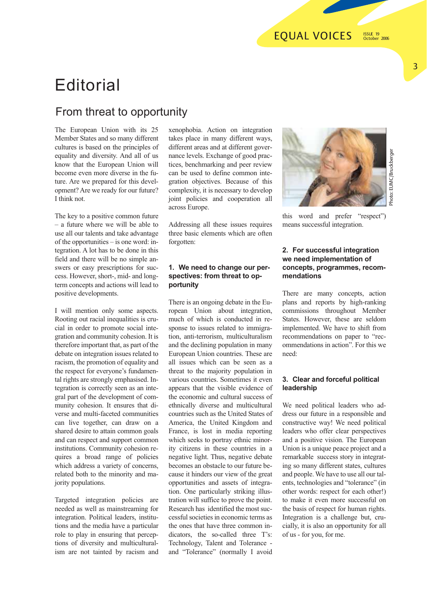## **Editorial**

## From threat to opportunity

The European Union with its 25 Member States and so many different cultures is based on the principles of equality and diversity. And all of us know that the European Union will become even more diverse in the future. Are we prepared for this development? Are we ready for our future? I think not.

The key to a positive common future – a future where we will be able to use all our talents and take advantage of the opportunities – is one word: integration. A lot has to be done in this field and there will be no simple answers or easy prescriptions for success. However, short-, mid- and longterm concepts and actions will lead to positive developments.

I will mention only some aspects. Rooting out racial inequalities is crucial in order to promote social integration and community cohesion. It is therefore important that, as part of the debate on integration issues related to racism, the promotion of equality and the respect for everyone's fundamental rights are strongly emphasised. Integration is correctly seen as an integral part of the development of community cohesion. It ensures that diverse and multi-faceted communities can live together, can draw on a shared desire to attain common goals and can respect and support common institutions. Community cohesion requires a broad range of policies which address a variety of concerns, related both to the minority and majority populations.

Targeted integration policies are needed as well as mainstreaming for integration. Political leaders, institutions and the media have a particular role to play in ensuring that perceptions of diversity and multiculturalism are not tainted by racism and

xenophobia. Action on integration takes place in many different ways, different areas and at different governance levels. Exchange of good practices, benchmarking and peer review can be used to define common integration objectives. Because of this complexity, it is necessary to develop joint policies and cooperation all across Europe.

Addressing all these issues requires three basic elements which are often forgotten:

## **1. We need to change our perspectives: from threat to opportunity**

There is an ongoing debate in the European Union about integration, much of which is conducted in response to issues related to immigration, anti-terrorism, multiculturalism and the declining population in many European Union countries. These are all issues which can be seen as a threat to the majority population in various countries. Sometimes it even appears that the visible evidence of the economic and cultural success of ethnically diverse and multicultural countries such as the United States of America, the United Kingdom and France, is lost in media reporting which seeks to portray ethnic minority citizens in these countries in a negative light. Thus, negative debate becomes an obstacle to our future because it hinders our view of the great opportunities and assets of integration. One particularly striking illustration will suffice to prove the point. Research has identified the most successful societies in economic terms as the ones that have three common indicators, the so-called three T's: Technology, Talent and Tolerance and "Tolerance" (normally I avoid



Photo: EUMC/Bruckberger Photo: EUMC/Bruckberger

this word and prefer "respect") means successful integration.

## **2. For successful integration we need implementation of concepts, programmes, recommendations**

There are many concepts, action plans and reports by high-ranking commissions throughout Member States. However, these are seldom implemented. We have to shift from recommendations on paper to "recommendations in action". For this we need:

## **3. Clear and forceful political leadership**

We need political leaders who address our future in a responsible and constructive way! We need political leaders who offer clear perspectives and a positive vision. The European Union is a unique peace project and a remarkable success story in integrating so many different states, cultures and people. We have to use all our talents, technologies and "tolerance" (in other words: respect for each other!) to make it even more successful on the basis of respect for human rights. Integration is a challenge but, crucially, it is also an opportunity for all of us - for you, for me.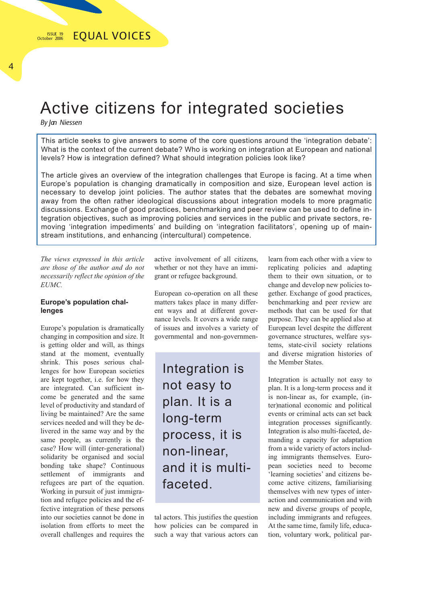## Active citizens for integrated societies

*By Jan Niessen*

This article seeks to give answers to some of the core questions around the 'integration debate': What is the context of the current debate? Who is working on integration at European and national levels? How is integration defined? What should integration policies look like?

The article gives an overview of the integration challenges that Europe is facing. At a time when Europe's population is changing dramatically in composition and size, European level action is necessary to develop joint policies. The author states that the debates are somewhat moving away from the often rather ideological discussions about integration models to more pragmatic discussions. Exchange of good practices, benchmarking and peer review can be used to define integration objectives, such as improving policies and services in the public and private sectors, removing 'integration impediments' and building on 'integration facilitators', opening up of mainstream institutions, and enhancing (intercultural) competence.

*The views expressed in this article are those of the author and do not necessarily reflect the opinion of the EUMC.*

## **Europe's population challenges**

Europe's population is dramatically changing in composition and size. It is getting older and will, as things stand at the moment, eventually shrink. This poses serious challenges for how European societies are kept together, i.e. for how they are integrated. Can sufficient income be generated and the same level of productivity and standard of living be maintained? Are the same services needed and will they be delivered in the same way and by the same people, as currently is the case? How will (inter-generational) solidarity be organised and social bonding take shape? Continuous settlement of immigrants and refugees are part of the equation. Working in pursuit of just immigration and refugee policies and the effective integration of these persons into our societies cannot be done in isolation from efforts to meet the overall challenges and requires the active involvement of all citizens, whether or not they have an immigrant or refugee background.

European co-operation on all these matters takes place in many different ways and at different governance levels. It covers a wide range of issues and involves a variety of governmental and non-governmen-

Integration is not easy to plan. It is a long-term process, it is non-linear, and it is multifaceted.

tal actors. This justifies the question how policies can be compared in such a way that various actors can learn from each other with a view to replicating policies and adapting them to their own situation, or to change and develop new policies together. Exchange of good practices, benchmarking and peer review are methods that can be used for that purpose. They can be applied also at European level despite the different governance structures, welfare systems, state-civil society relations and diverse migration histories of the Member States.

Integration is actually not easy to plan. It is a long-term process and it is non-linear as, for example, (inter)national economic and political events or criminal acts can set back integration processes significantly. Integration is also multi-faceted, demanding a capacity for adaptation from a wide variety of actors including immigrants themselves. European societies need to become 'learning societies' and citizens become active citizens, familiarising themselves with new types of interaction and communication and with new and diverse groups of people, including immigrants and refugees. At the same time, family life, education, voluntary work, political par-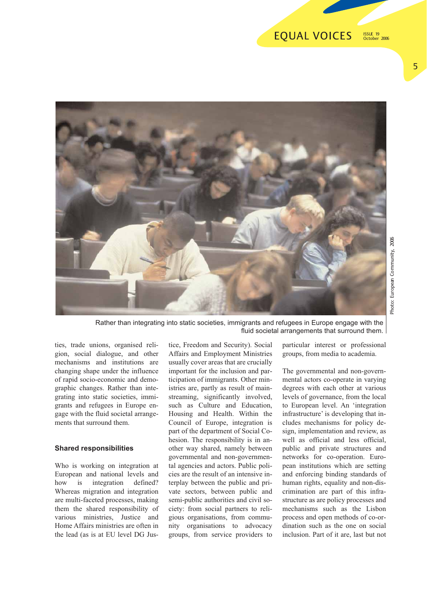#### **EQUAL VOICES** ISSUE 19 October 2006



Rather than integrating into static societies, immigrants and refugees in Europe engage with the fluid societal arrangements that surround them.

ties, trade unions, organised religion, social dialogue, and other mechanisms and institutions are changing shape under the influence of rapid socio-economic and demographic changes. Rather than integrating into static societies, immigrants and refugees in Europe engage with the fluid societal arrangements that surround them.

### **Shared responsibilities**

Who is working on integration at European and national levels and how is integration defined? Whereas migration and integration are multi-faceted processes, making them the shared responsibility of various ministries, Justice and Home Affairs ministries are often in the lead (as is at EU level DG Jus-

tice, Freedom and Security). Social Affairs and Employment Ministries usually cover areas that are crucially important for the inclusion and participation of immigrants. Other ministries are, partly as result of mainstreaming, significantly involved, such as Culture and Education, Housing and Health. Within the Council of Europe, integration is part of the department of Social Cohesion. The responsibility is in another way shared, namely between governmental and non-governmental agencies and actors. Public policies are the result of an intensive interplay between the public and private sectors, between public and semi-public authorities and civil society: from social partners to religious organisations, from community organisations to advocacy groups, from service providers to particular interest or professional groups, from media to academia.

The governmental and non-governmental actors co-operate in varying degrees with each other at various levels of governance, from the local to European level. An 'integration infrastructure' is developing that includes mechanisms for policy design, implementation and review, as well as official and less official, public and private structures and networks for co-operation. European institutions which are setting and enforcing binding standards of human rights, equality and non-discrimination are part of this infrastructure as are policy processes and mechanisms such as the Lisbon process and open methods of co-ordination such as the one on social inclusion. Part of it are, last but not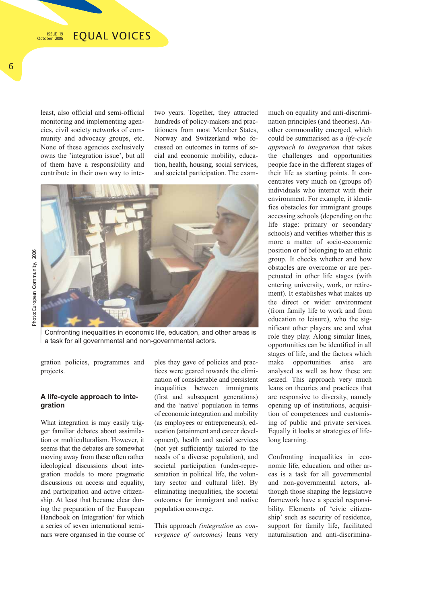least, also official and semi-official monitoring and implementing agencies, civil society networks of community and advocacy groups, etc. None of these agencies exclusively owns the 'integration issue', but all of them have a responsibility and contribute in their own way to intetwo years. Together, they attracted hundreds of policy-makers and practitioners from most Member States, Norway and Switzerland who focussed on outcomes in terms of social and economic mobility, education, health, housing, social services, and societal participation. The exam-



Confronting inequalities in economic life, education, and other areas is a task for all governmental and non-governmental actors.

gration policies, programmes and projects.

## **A life-cycle approach to integration**

What integration is may easily trigger familiar debates about assimilation or multiculturalism. However, it seems that the debates are somewhat moving away from these often rather ideological discussions about integration models to more pragmatic discussions on access and equality, and participation and active citizenship. At least that became clear during the preparation of the European Handbook on Integration<sup>1</sup> for which a series of seven international seminars were organised in the course of ples they gave of policies and practices were geared towards the elimination of considerable and persistent inequalities between immigrants (first and subsequent generations) and the 'native' population in terms of economic integration and mobility (as employees or entrepreneurs), education (attainment and career development), health and social services (not yet sufficiently tailored to the needs of a diverse population), and societal participation (under-representation in political life, the voluntary sector and cultural life). By eliminating inequalities, the societal outcomes for immigrant and native population converge.

This approach *(integration as convergence of outcomes)* leans very much on equality and anti-discrimination principles (and theories). Another commonality emerged, which could be summarised as a *life-cycle approach to integration* that takes the challenges and opportunities people face in the different stages of their life as starting points. It concentrates very much on (groups of) individuals who interact with their environment. For example, it identifies obstacles for immigrant groups accessing schools (depending on the life stage: primary or secondary schools) and verifies whether this is more a matter of socio-economic position or of belonging to an ethnic group. It checks whether and how obstacles are overcome or are perpetuated in other life stages (with entering university, work, or retirement). It establishes what makes up the direct or wider environment (from family life to work and from education to leisure), who the significant other players are and what role they play. Along similar lines, opportunities can be identified in all stages of life, and the factors which make opportunities arise are analysed as well as how these are seized. This approach very much leans on theories and practices that are responsive to diversity, namely opening up of institutions, acquisition of competences and customising of public and private services. Equally it looks at strategies of lifelong learning.

Confronting inequalities in economic life, education, and other areas is a task for all governmental and non-governmental actors, although those shaping the legislative framework have a special responsibility. Elements of 'civic citizenship' such as security of residence, support for family life, facilitated naturalisation and anti-discrimina-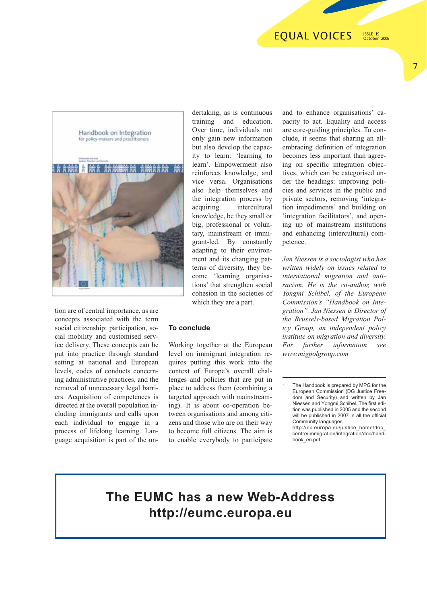#### **EOUAL VOICES** ISSUE 19 October 2006



7



tion are of central importance, as are concepts associated with the term social citizenship: participation, social mobility and customised service delivery. These concepts can be put into practice through standard setting at national and European levels, codes of conducts concerning administrative practices, and the removal of unnecessary legal barriers. Acquisition of competences is directed at the overall population including immigrants and calls upon each individual to engage in a process of lifelong learning. Language acquisition is part of the undertaking, as is continuous training and education. Over time, individuals not only gain new information but also develop the capacity to learn: 'learning to learn'. Empowerment also reinforces knowledge, and vice versa. Organisations also help themselves and the integration process by acquiring intercultural knowledge, be they small or big, professional or voluntary, mainstream or immigrant-led. By constantly adapting to their environment and its changing patterns of diversity, they become 'learning organisations' that strengthen social cohesion in the societies of which they are a part.

### **To conclude**

Working together at the European level on immigrant integration requires putting this work into the context of Europe's overall challenges and policies that are put in place to address them (combining a targeted approach with mainstreaming). It is about co-operation between organisations and among citizens and those who are on their way to become full citizens. The aim is to enable everybody to participate and to enhance organisations' capacity to act. Equality and access are core-guiding principles. To conclude, it seems that sharing an allembracing definition of integration becomes less important than agreeing on specific integration objectives, which can be categorised under the headings: improving policies and services in the public and private sectors, removing 'integration impediments' and building on 'integration facilitators', and opening up of mainstream institutions and enhancing (intercultural) competence.

*Jan Niessen is a sociologist who has written widely on issues related to international migration and antiracism. He is the co-author, with Yongmi Schibel, of the European Commission's "Handbook on Integration". Jan Niessen is Director of the Brussels-based Migration Policy Group, an independent policy institute on migration and diversity. For further information see www.migpolgroup.com*

## **The EUMC has a new Web-Address http://eumc.europa.eu**

The Handbook is prepared by MPG for the European Commission (DG Justice Freedom and Security) and written by Jan Niessen and Yongmi Schibel. The first edition was published in 2005 and the second will be published in 2007 in all the official Community languages.

http://ec.europa.eu/justice\_home/doc\_ centre/immigration/integration/doc/handbook\_en.pdf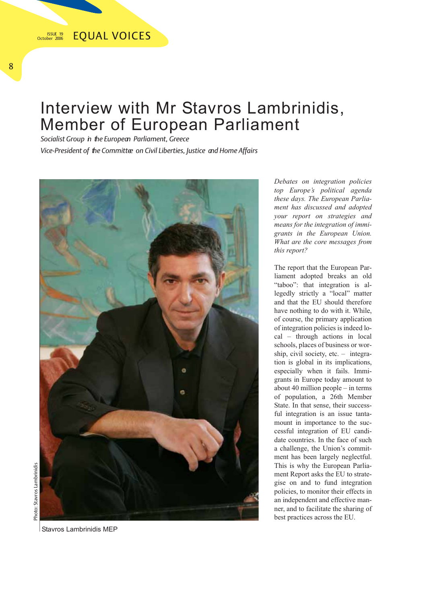## Interview with Mr Stavros Lambrinidis, Member of European Parliament

*Socialist Group in the European Parliament, Greece*

*Vice-President of the Committee on Civil Liberties, Justice and Home Affairs*



*Debates on integration policies top Europe's political agenda these days. The European Parliament has discussed and adopted your report on strategies and means for the integration of immigrants in the European Union. What are the core messages from this report?*

The report that the European Parliament adopted breaks an old "taboo": that integration is allegedly strictly a "local" matter and that the EU should therefore have nothing to do with it. While, of course, the primary application of integration policies is indeed local – through actions in local schools, places of business or worship, civil society, etc. – integration is global in its implications, especially when it fails. Immigrants in Europe today amount to about 40 million people – in terms of population, a 26th Member State. In that sense, their successful integration is an issue tantamount in importance to the successful integration of EU candidate countries. In the face of such a challenge, the Union's commitment has been largely neglectful. This is why the European Parliament Report asks the EU to strategise on and to fund integration policies, to monitor their effects in an independent and effective manner, and to facilitate the sharing of best practices across the EU.

Stavros Lambrinidis MEP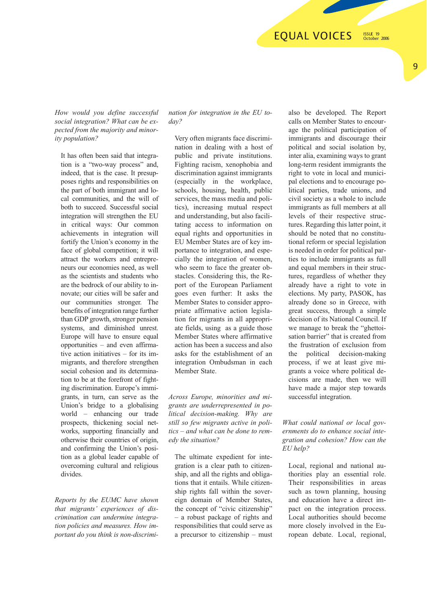October 2006

*How would you define successful social integration? What can be expected from the majority and minority population?*

It has often been said that integration is a "two-way process" and, indeed, that is the case. It presupposes rights and responsibilities on the part of both immigrant and local communities, and the will of both to succeed. Successful social integration will strengthen the EU in critical ways: Our common achievements in integration will fortify the Union's economy in the face of global competition; it will attract the workers and entrepreneurs our economies need, as well as the scientists and students who are the bedrock of our ability to innovate; our cities will be safer and our communities stronger. The benefits of integration range further than GDP growth, stronger pension systems, and diminished unrest. Europe will have to ensure equal opportunities – and even affirmative action initiatives – for its immigrants, and therefore strengthen social cohesion and its determination to be at the forefront of fighting discrimination. Europe's immigrants, in turn, can serve as the Union's bridge to a globalising world – enhancing our trade prospects, thickening social networks, supporting financially and otherwise their countries of origin, and confirming the Union's position as a global leader capable of overcoming cultural and religious divides.

*Reports by the EUMC have shown that migrants' experiences of discrimination can undermine integration policies and measures. How important do you think is non-discrimi-* *nation for integration in the EU today?*

Very often migrants face discrimination in dealing with a host of public and private institutions. Fighting racism, xenophobia and discrimination against immigrants (especially in the workplace, schools, housing, health, public services, the mass media and politics), increasing mutual respect and understanding, but also facilitating access to information on equal rights and opportunities in EU Member States are of key importance to integration, and especially the integration of women, who seem to face the greater obstacles. Considering this, the Report of the European Parliament goes even further: It asks the Member States to consider appropriate affirmative action legislation for migrants in all appropriate fields, using as a guide those Member States where affirmative action has been a success and also asks for the establishment of an integration Ombudsman in each Member State.

*Across Europe, minorities and migrants are underrepresented in political decision-making. Why are still so few migrants active in politics – and what can be done to remedy the situation?*

The ultimate expedient for integration is a clear path to citizenship, and all the rights and obligations that it entails. While citizenship rights fall within the sovereign domain of Member States, the concept of "civic citizenship" – a robust package of rights and responsibilities that could serve as a precursor to citizenship – must also be developed. The Report calls on Member States to encourage the political participation of immigrants and discourage their political and social isolation by, inter alia, examining ways to grant long-term resident immigrants the right to vote in local and municipal elections and to encourage political parties, trade unions, and civil society as a whole to include immigrants as full members at all levels of their respective structures. Regarding this latter point, it should be noted that no constitutional reform or special legislation is needed in order for political parties to include immigrants as full and equal members in their structures, regardless of whether they already have a right to vote in elections. My party, PASOK, has already done so in Greece, with great success, through a simple decision of its National Council. If we manage to break the "ghettoisation barrier" that is created from the frustration of exclusion from the political decision-making process, if we at least give migrants a voice where political decisions are made, then we will have made a major step towards successful integration.

## *What could national or local governments do to enhance social integration and cohesion? How can the EU help?*

Local, regional and national authorities play an essential role. Their responsibilities in areas such as town planning, housing and education have a direct impact on the integration process. Local authorities should become more closely involved in the European debate. Local, regional,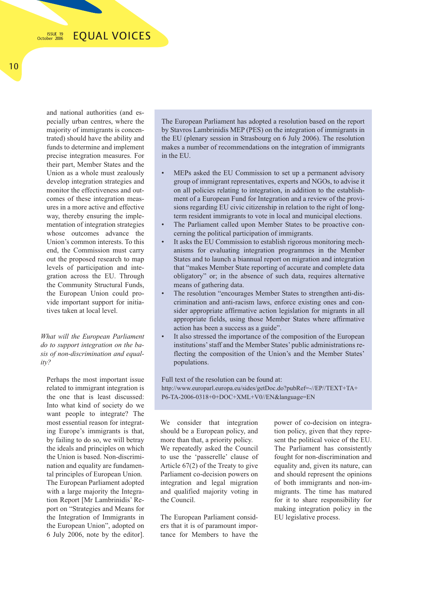and national authorities (and especially urban centres, where the majority of immigrants is concentrated) should have the ability and funds to determine and implement precise integration measures. For their part, Member States and the Union as a whole must zealously develop integration strategies and monitor the effectiveness and outcomes of these integration measures in a more active and effective way, thereby ensuring the implementation of integration strategies whose outcomes advance the Union's common interests. To this end, the Commission must carry out the proposed research to map levels of participation and integration across the EU. Through the Community Structural Funds, the European Union could provide important support for initiatives taken at local level.

*What will the European Parliament do to support integration on the basis of non-discrimination and equality?*

Perhaps the most important issue related to immigrant integration is the one that is least discussed: Into what kind of society do we want people to integrate? The most essential reason for integrating Europe's immigrants is that, by failing to do so, we will betray the ideals and principles on which the Union is based. Non-discrimination and equality are fundamental principles of European Union. The European Parliament adopted with a large majority the Integration Report [Mr Lambrinidis' Report on "Strategies and Means for the Integration of Immigrants in the European Union", adopted on 6 July 2006, note by the editor].

The European Parliament has adopted a resolution based on the report by Stavros Lambrinidis MEP (PES) on the integration of immigrants in the EU (plenary session in Strasbourg on 6 July 2006). The resolution makes a number of recommendations on the integration of immigrants in the EU.

- MEPs asked the EU Commission to set up a permanent advisory group of immigrant representatives, experts and NGOs, to advise it on all policies relating to integration, in addition to the establishment of a European Fund for Integration and a review of the provisions regarding EU civic citizenship in relation to the right of longterm resident immigrants to vote in local and municipal elections.
- The Parliament called upon Member States to be proactive concerning the political participation of immigrants.
- It asks the EU Commission to establish rigorous monitoring mechanisms for evaluating integration programmes in the Member States and to launch a biannual report on migration and integration that "makes Member State reporting of accurate and complete data obligatory" or; in the absence of such data, requires alternative means of gathering data.
- The resolution "encourages Member States to strengthen anti-discrimination and anti-racism laws, enforce existing ones and consider appropriate affirmative action legislation for migrants in all appropriate fields, using those Member States where affirmative action has been a success as a guide".
- It also stressed the importance of the composition of the European institutions' staff and the Member States' public administrations reflecting the composition of the Union's and the Member States' populations.

Full text of the resolution can be found at: http://www.europarl.europa.eu/sides/getDoc.do?pubRef=-//EP//TEXT+TA+ P6-TA-2006-0318+0+DOC+XML+V0//EN&language=EN

We consider that integration should be a European policy, and more than that, a priority policy. We repeatedly asked the Council to use the 'passerelle' clause of Article 67(2) of the Treaty to give Parliament co-decision powers on integration and legal migration and qualified majority voting in the Council.

The European Parliament considers that it is of paramount importance for Members to have the

power of co-decision on integration policy, given that they represent the political voice of the EU. The Parliament has consistently fought for non-discrimination and equality and, given its nature, can and should represent the opinions of both immigrants and non-immigrants. The time has matured for it to share responsibility for making integration policy in the EU legislative process.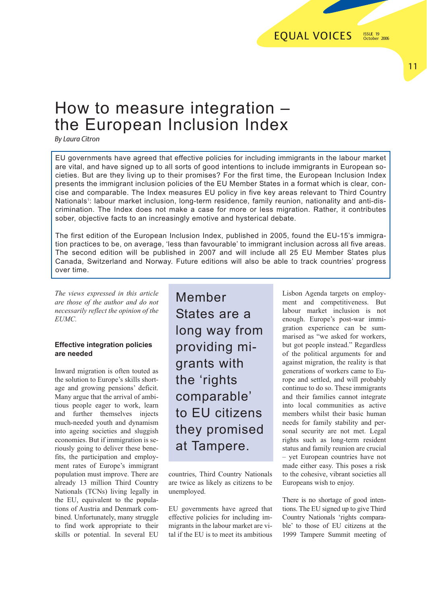## 11

## How to measure integration – the European Inclusion Index

*By Laura Citron*

EU governments have agreed that effective policies for including immigrants in the labour market are vital, and have signed up to all sorts of good intentions to include immigrants in European societies. But are they living up to their promises? For the first time, the European Inclusion Index presents the immigrant inclusion policies of the EU Member States in a format which is clear, concise and comparable. The Index measures EU policy in five key areas relevant to Third Country Nationals': labour market inclusion, long-term residence, family reunion, nationality and anti-discrimination. The Index does not make a case for more or less migration. Rather, it contributes sober, objective facts to an increasingly emotive and hysterical debate.

The first edition of the European Inclusion Index, published in 2005, found the EU-15's immigration practices to be, on average, 'less than favourable' to immigrant inclusion across all five areas. The second edition will be published in 2007 and will include all 25 EU Member States plus Canada, Switzerland and Norway. Future editions will also be able to track countries' progress over time.

*The views expressed in this article are those of the author and do not necessarily reflect the opinion of the EUMC.*

## **Effective integration policies are needed**

Inward migration is often touted as the solution to Europe's skills shortage and growing pensions' deficit. Many argue that the arrival of ambitious people eager to work, learn and further themselves injects much-needed youth and dynamism into ageing societies and sluggish economies. But if immigration is seriously going to deliver these benefits, the participation and employment rates of Europe's immigrant population must improve. There are already 13 million Third Country Nationals (TCNs) living legally in the EU, equivalent to the populations of Austria and Denmark combined. Unfortunately, many struggle to find work appropriate to their skills or potential. In several EU Member States are a long way from providing migrants with the 'rights comparable' to EU citizens they promised at Tampere.

countries, Third Country Nationals are twice as likely as citizens to be unemployed.

EU governments have agreed that effective policies for including immigrants in the labour market are vital if the EU is to meet its ambitious

Lisbon Agenda targets on employment and competitiveness. But labour market inclusion is not enough. Europe's post-war immigration experience can be summarised as "we asked for workers, but got people instead." Regardless of the political arguments for and against migration, the reality is that generations of workers came to Europe and settled, and will probably continue to do so. These immigrants and their families cannot integrate into local communities as active members whilst their basic human needs for family stability and personal security are not met. Legal rights such as long-term resident status and family reunion are crucial – yet European countries have not made either easy. This poses a risk to the cohesive, vibrant societies all Europeans wish to enjoy.

There is no shortage of good intentions. The EU signed up to give Third Country Nationals 'rights comparable' to those of EU citizens at the 1999 Tampere Summit meeting of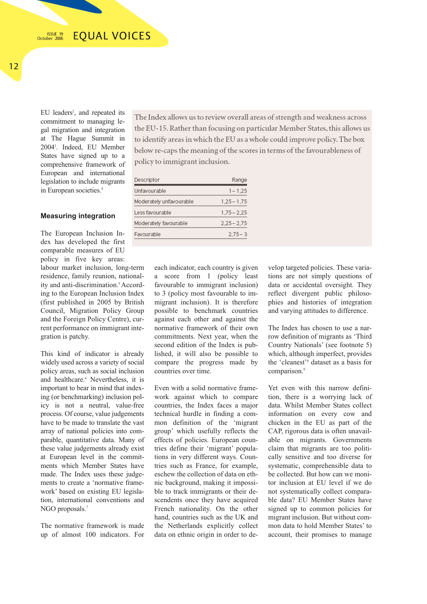EU leaders<sup>2</sup>, and repeated its commitment to managing legal migration and integration at The Hague Summit in 20043 . Indeed, EU Member States have signed up to a comprehensive framework of European and international legislation to include migrants in European societies.4

## **Measuring integration**

The European Inclusion Index has developed the first comparable measures of EU policy in five key areas:

labour market inclusion, long-term residence, family reunion, nationality and anti-discrimination.<sup>5</sup> According to the European Inclusion Index (first published in 2005 by British Council, Migration Policy Group and the Foreign Policy Centre), current performance on immigrant integration is patchy.

This kind of indicator is already widely used across a variety of social policy areas, such as social inclusion and healthcare.<sup>6</sup> Nevertheless, it is important to bear in mind that indexing (or benchmarking) inclusion policy is not a neutral, value-free process. Of course, value judgements have to be made to translate the vast array of national policies into comparable, quantitative data. Many of these value judgements already exist at European level in the commitments which Member States have made. The Index uses these judgements to create a 'normative framework' based on existing EU legislation, international conventions and NGO proposals.<sup>7</sup>

The normative framework is made up of almost 100 indicators. For

The Index allows us to review overall areas of strength and weakness across the EU-15. Rather than focusing on particular Member States, this allows us to identify areas in which the EU as a whole could improve policy. The box below re-caps the meaning of the scores in terms of the favourableness of policy to immigrant inclusion.

| Descriptor              | Range         |
|-------------------------|---------------|
| Jnfavourable            | $1 - 1.25$    |
| Moderately unfavourable | $1,25 - 1,75$ |
| Less favourable         | $1,75 - 2,25$ |
| Moderately favourable   | $2,25 - 2,75$ |
| Favourable              | $2.75 - 3$    |

each indicator, each country is given a score from 1 (policy least favourable to immigrant inclusion) to 3 (policy most favourable to immigrant inclusion). It is therefore possible to benchmark countries against each other and against the normative framework of their own commitments. Next year, when the second edition of the Index is published, it will also be possible to compare the progress made by countries over time.

Even with a solid normative framework against which to compare countries, the Index faces a major technical hurdle in finding a common definition of the 'migrant group' which usefully reflects the effects of policies. European countries define their 'migrant' populations in very different ways. Countries such as France, for example, eschew the collection of data on ethnic background, making it impossible to track immigrants or their descendents once they have acquired French nationality. On the other hand, countries such as the UK and the Netherlands explicitly collect data on ethnic origin in order to de-

velop targeted policies. These variations are not simply questions of data or accidental oversight. They reflect divergent public philosophies and histories of integration and varying attitudes to difference.

The Index has chosen to use a narrow definition of migrants as 'Third Country Nationals' (see footnote 5) which, although imperfect, provides the 'cleanest'8 dataset as a basis for comparison.9

Yet even with this narrow definition, there is a worrying lack of data. Whilst Member States collect information on every cow and chicken in the EU as part of the CAP, rigorous data is often unavailable on migrants. Governments claim that migrants are too politically sensitive and too diverse for systematic, comprehensible data to be collected. But how can we monitor inclusion at EU level if we do not systematically collect comparable data? EU Member States have signed up to common policies for migrant inclusion. But without common data to hold Member States' to account, their promises to manage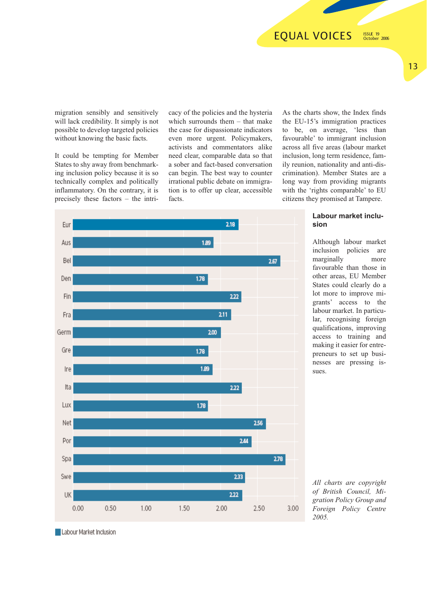migration sensibly and sensitively will lack credibility. It simply is not possible to develop targeted policies without knowing the basic facts.

It could be tempting for Member States to shy away from benchmarking inclusion policy because it is so technically complex and politically inflammatory. On the contrary, it is precisely these factors – the intri-

cacy of the policies and the hysteria which surrounds them – that make the case for dispassionate indicators even more urgent. Policymakers, activists and commentators alike need clear, comparable data so that a sober and fact-based conversation can begin. The best way to counter irrational public debate on immigration is to offer up clear, accessible facts.

As the charts show, the Index finds the EU-15's immigration practices to be, on average, 'less than favourable' to immigrant inclusion across all five areas (labour market inclusion, long term residence, family reunion, nationality and anti-discrimination). Member States are a long way from providing migrants with the 'rights comparable' to EU citizens they promised at Tampere.



**Labour market inclusion**

Although labour market inclusion policies are marginally more favourable than those in other areas, EU Member States could clearly do a lot more to improve migrants' access to the labour market. In particular, recognising foreign qualifications, improving access to training and making it easier for entrepreneurs to set up businesses are pressing issues.

*All charts are copyright of British Council, Migration Policy Group and Foreign Policy Centre 2005.* 

Labour Market Inclusion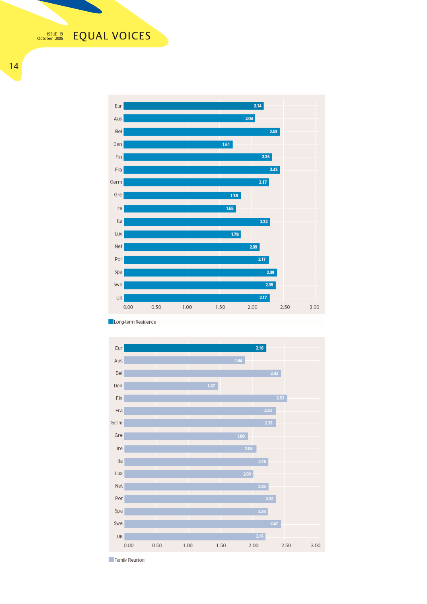**EQUAL VOICES** ISSUE 19 October 2006

14



Long-term Residence



Family Reunion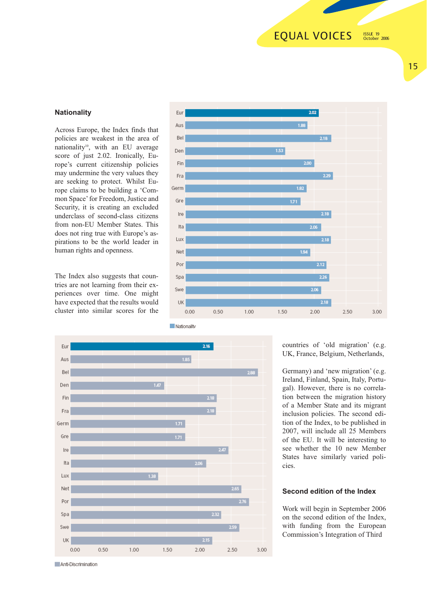## **EQUAL VOICES**

ISSUE 19 October 2006

## **Nationality**

Across Europe, the Index finds that policies are weakest in the area of nationality<sup>10</sup>, with an EU average score of just 2.02. Ironically, Europe's current citizenship policies may undermine the very values they are seeking to protect. Whilst Europe claims to be building a 'Common Space' for Freedom, Justice and Security, it is creating an excluded underclass of second-class citizens from non-EU Member States. This does not ring true with Europe's aspirations to be the world leader in human rights and openness.

The Index also suggests that countries are not learning from their experiences over time. One might have expected that the results would cluster into similar scores for the





countries of 'old migration' (e.g. UK, France, Belgium, Netherlands,

Germany) and 'new migration' (e.g. Ireland, Finland, Spain, Italy, Portugal). However, there is no correlation between the migration history of a Member State and its migrant inclusion policies. The second edition of the Index, to be published in 2007, will include all 25 Members of the EU. It will be interesting to see whether the 10 new Member States have similarly varied policies.

## **Second edition of the Index**

Work will begin in September 2006 on the second edition of the Index, with funding from the European Commission's Integration of Third

Anti-Discrimination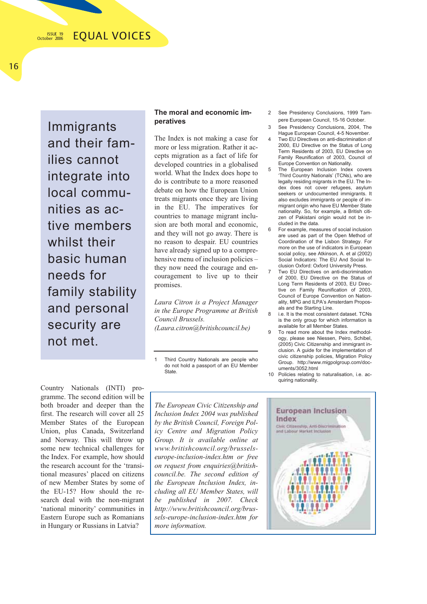Immigrants and their families cannot integrate into local communities as active members whilst their basic human needs for family stability and personal security are not met.

### **The moral and economic imperatives**

The Index is not making a case for more or less migration. Rather it accepts migration as a fact of life for developed countries in a globalised world. What the Index does hope to do is contribute to a more reasoned debate on how the European Union treats migrants once they are living in the EU. The imperatives for countries to manage migrant inclusion are both moral and economic, and they will not go away. There is no reason to despair. EU countries have already signed up to a comprehensive menu of inclusion policies – they now need the courage and encouragement to live up to their promises.

*Laura Citron is a Project Manager in the Europe Programme at British Council Brussels. (Laura.citron@britishcouncil.be)*

1 Third Country Nationals are people who do not hold a passport of an EU Member State.

2 See Presidency Conclusions, 1999 Tampere European Council, 15-16 October.

- 3 See Presidency Conclusions, 2004, The Hague European Council, 4-5 November.
- Two EU Directives on anti-discrimination of 2000, EU Directive on the Status of Long Term Residents of 2003, EU Directive on Family Reunification of 2003, Council of Europe Convention on Nationality.
- The European Inclusion Index covers 'Third Country Nationals' (TCNs), who are legally residing migrants in the EU. The Index does not cover refugees, asylum seekers or undocumented immigrants. It also excludes immigrants or people of immigrant origin who have EU Member State nationality. So, for example, a British citizen of Pakistani origin would not be included in the data.
- 6 For example, measures of social inclusion are used as part of the Open Method of Coordination of the Lisbon Strategy. For more on the use of indicators in European social policy, see Atkinson, A. et al (2002) Social Indicators: The EU And Social Inclusion Oxford: Oxford University Press.
	- 7 Two EU Directives on anti-discrimination of 2000, EU Directive on the Status of Long Term Residents of 2003, EU Directive on Family Reunification of 2003, Council of Europe Convention on Nationality, MPG and ILPA's Amsterdam Proposals and the Starting Line.
- 8 i.e. It is the most consistent dataset. TCNs is the only group for which information is available for all Member States.
- To read more about the Index methodology, please see Niessen, Peiro, Schibel, (2005) Civic Citizenship and immigrant inclusion. A guide for the implementation of civic citizenship policies, Migration Policy Group. http://www.migpolgroup.com/documents/3052.html
- 10 Policies relating to naturalisation, i.e. acquiring nationality.

Country Nationals (INTI) programme. The second edition will be both broader and deeper than the first. The research will cover all 25 Member States of the European Union, plus Canada, Switzerland and Norway. This will throw up some new technical challenges for the Index. For example, how should the research account for the 'transitional measures' placed on citizens of new Member States by some of the EU-15? How should the research deal with the non-migrant 'national minority' communities in Eastern Europe such as Romanians in Hungary or Russians in Latvia?

*The European Civic Citizenship and Inclusion Index 2004 was published by the British Council, Foreign Policy Centre and Migration Policy Group. It is available online at www.britishcouncil.org/brusselseurope-inclusion-index.htm or free on request from enquiries@britishcouncil.be. The second edition of the European Inclusion Index, including all EU Member States, will be published in 2007. Check http://www.britishcouncil.org/brussels-europe-inclusion-index.htm for more information.* 

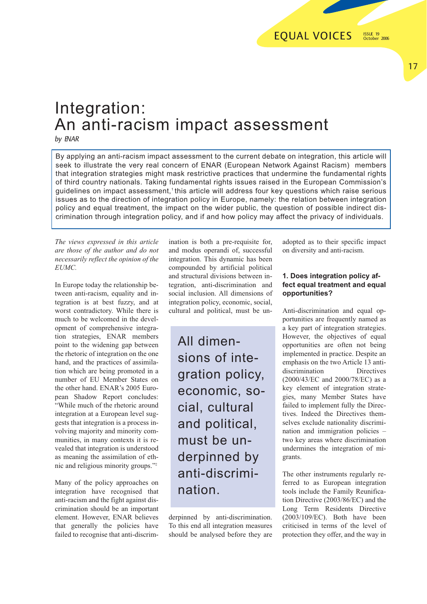## Integration: An anti-racism impact assessment

*by ENAR*

By applying an anti-racism impact assessment to the current debate on integration, this article will seek to illustrate the very real concern of ENAR (European Network Against Racism) members that integration strategies might mask restrictive practices that undermine the fundamental rights of third country nationals. Taking fundamental rights issues raised in the European Commission's guidelines on impact assessment,<sup>1</sup> this article will address four key questions which raise serious issues as to the direction of integration policy in Europe, namely: the relation between integration policy and equal treatment, the impact on the wider public, the question of possible indirect discrimination through integration policy, and if and how policy may affect the privacy of individuals.

*The views expressed in this article are those of the author and do not necessarily reflect the opinion of the EUMC.*

In Europe today the relationship between anti-racism, equality and integration is at best fuzzy, and at worst contradictory. While there is much to be welcomed in the development of comprehensive integration strategies, ENAR members point to the widening gap between the rhetoric of integration on the one hand, and the practices of assimilation which are being promoted in a number of EU Member States on the other hand. ENAR's 2005 European Shadow Report concludes: "While much of the rhetoric around integration at a European level suggests that integration is a process involving majority and minority communities, in many contexts it is revealed that integration is understood as meaning the assimilation of ethnic and religious minority groups."2

Many of the policy approaches on integration have recognised that anti-racism and the fight against discrimination should be an important element. However, ENAR believes that generally the policies have failed to recognise that anti-discrimination is both a pre-requisite for, and modus operandi of, successful integration. This dynamic has been compounded by artificial political and structural divisions between integration, anti-discrimination and social inclusion. All dimensions of integration policy, economic, social, cultural and political, must be un-

All dimensions of integration policy, economic, social, cultural and political, must be underpinned by anti-discrimination.

derpinned by anti-discrimination. To this end all integration measures should be analysed before they are

adopted as to their specific impact on diversity and anti-racism.

## **1. Does integration policy affect equal treatment and equal opportunities?**

Anti-discrimination and equal opportunities are frequently named as a key part of integration strategies. However, the objectives of equal opportunities are often not being implemented in practice. Despite an emphasis on the two Article 13 antidiscrimination Directives (2000/43/EC and 2000/78/EC) as a key element of integration strategies, many Member States have failed to implement fully the Directives. Indeed the Directives themselves exclude nationality discrimination and immigration policies – two key areas where discrimination undermines the integration of migrants.

The other instruments regularly referred to as European integration tools include the Family Reunification Directive (2003/86/EC) and the Long Term Residents Directive (2003/109/EC). Both have been criticised in terms of the level of protection they offer, and the way in

17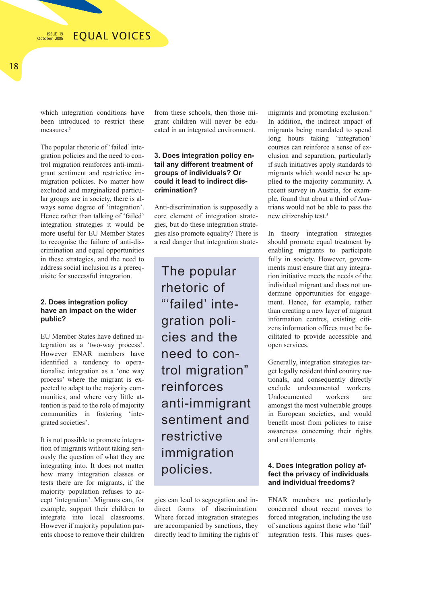which integration conditions have been introduced to restrict these measures.<sup>3</sup>

The popular rhetoric of 'failed' integration policies and the need to control migration reinforces anti-immigrant sentiment and restrictive immigration policies. No matter how excluded and marginalized particular groups are in society, there is always some degree of 'integration'. Hence rather than talking of 'failed' integration strategies it would be more useful for EU Member States to recognise the failure of anti-discrimination and equal opportunities in these strategies, and the need to address social inclusion as a prerequisite for successful integration.

## **2. Does integration policy have an impact on the wider public?**

EU Member States have defined integration as a 'two-way process'. However ENAR members have identified a tendency to operationalise integration as a 'one way process' where the migrant is expected to adapt to the majority communities, and where very little attention is paid to the role of majority communities in fostering 'integrated societies'.

It is not possible to promote integration of migrants without taking seriously the question of what they are integrating into. It does not matter how many integration classes or tests there are for migrants, if the majority population refuses to accept 'integration'. Migrants can, for example, support their children to integrate into local classrooms. However if majority population parents choose to remove their children

from these schools, then those migrant children will never be educated in an integrated environment.

## **3. Does integration policy entail any different treatment of groups of individuals? Or could it lead to indirect discrimination?**

Anti-discrimination is supposedly a core element of integration strategies, but do these integration strategies also promote equality? There is a real danger that integration strate-

The popular rhetoric of "'failed' integration policies and the need to control migration" reinforces anti-immigrant sentiment and restrictive immigration policies.

gies can lead to segregation and indirect forms of discrimination. Where forced integration strategies are accompanied by sanctions, they directly lead to limiting the rights of migrants and promoting exclusion.4 In addition, the indirect impact of migrants being mandated to spend long hours taking 'integration' courses can reinforce a sense of exclusion and separation, particularly if such initiatives apply standards to migrants which would never be applied to the majority community. A recent survey in Austria, for example, found that about a third of Austrians would not be able to pass the new citizenship test.5

In theory integration strategies should promote equal treatment by enabling migrants to participate fully in society. However, governments must ensure that any integration initiative meets the needs of the individual migrant and does not undermine opportunities for engagement. Hence, for example, rather than creating a new layer of migrant information centres, existing citizens information offices must be facilitated to provide accessible and open services.

Generally, integration strategies target legally resident third country nationals, and consequently directly exclude undocumented workers. Undocumented workers amongst the most vulnerable groups in European societies, and would benefit most from policies to raise awareness concerning their rights and entitlements.

## **4. Does integration policy affect the privacy of individuals and individual freedoms?**

ENAR members are particularly concerned about recent moves to forced integration, including the use of sanctions against those who 'fail' integration tests. This raises ques-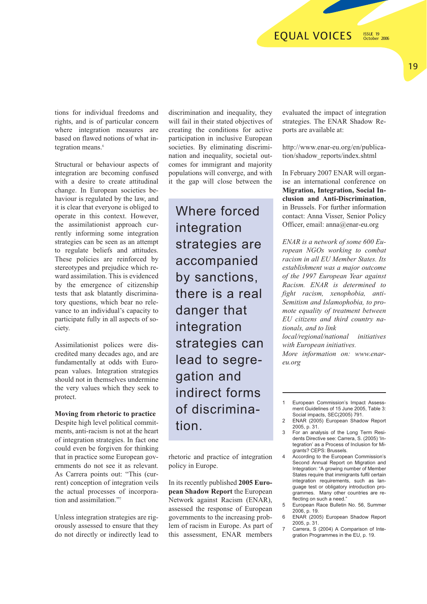#### **EQUAL VOICES** ISSUE 19

October 2006

tions for individual freedoms and rights, and is of particular concern where integration measures are based on flawed notions of what integration means.<sup>6</sup>

Structural or behaviour aspects of integration are becoming confused with a desire to create attitudinal change. In European societies behaviour is regulated by the law, and it is clear that everyone is obliged to operate in this context. However, the assimilationist approach currently informing some integration strategies can be seen as an attempt to regulate beliefs and attitudes. These policies are reinforced by stereotypes and prejudice which reward assimilation. This is evidenced by the emergence of citizenship tests that ask blatantly discriminatory questions, which bear no relevance to an individual's capacity to participate fully in all aspects of society.

Assimilationist polices were discredited many decades ago, and are fundamentally at odds with European values. Integration strategies should not in themselves undermine the very values which they seek to protect.

## **Moving from rhetoric to practice**

Despite high level political commitments, anti-racism is not at the heart of integration strategies. In fact one could even be forgiven for thinking that in practice some European governments do not see it as relevant. As Carrera points out: "This (current) conception of integration veils the actual processes of incorporation and assimilation."

Unless integration strategies are rigorously assessed to ensure that they do not directly or indirectly lead to

discrimination and inequality, they will fail in their stated objectives of creating the conditions for active participation in inclusive European societies. By eliminating discrimination and inequality, societal outcomes for immigrant and majority populations will converge, and with it the gap will close between the

Where forced integration strategies are accompanied by sanctions, there is a real danger that integration strategies can lead to segregation and indirect forms of discrimination.

rhetoric and practice of integration policy in Europe.

In its recently published **2005 European Shadow Report** the European Network against Racism (ENAR), assessed the response of European governments to the increasing problem of racism in Europe. As part of this assessment, ENAR members

evaluated the impact of integration strategies. The ENAR Shadow Reports are available at:

http://www.enar-eu.org/en/publication/shadow\_reports/index.shtml

In February 2007 ENAR will organise an international conference on **Migration, Integration, Social Inclusion and Anti-Discrimination**, in Brussels. For further information contact: Anna Visser, Senior Policy Officer, email: anna@enar-eu.org

*ENAR is a network of some 600 European NGOs working to combat racism in all EU Member States. Its establishment was a major outcome of the 1997 European Year against Racism. ENAR is determined to fight racism, xenophobia, anti-Semitism and Islamophobia, to promote equality of treatment between EU citizens and third country nationals, and to link* 

*local/regional/national initiatives with European initiatives.*

*More information on: www.enareu.org* 

- For an analysis of the Long Term Residents Directive see: Carrera, S. (2005) 'Integration' as a Process of Inclusion for Migrants? CEPS: Brussels.
- 4 According to the European Commission's Second Annual Report on Migration and Integration: "A growing number of Member States require that immigrants fulfil certain integration requirements, such as language test or obligatory introduction programmes. Many other countries are reflecting on such a need."
- 5 European Race Bulletin No. 56, Summer 2006, p. 19.
- 6 ENAR (2005) European Shadow Report 2005, p. 31.
- 7 Carrera, S (2004) A Comparison of Integration Programmes in the EU, p. 19.

<sup>1</sup> European Commission's Impact Assessment Guidelines of 15 June 2005, Table 3: Social impacts, SEC(2005) 791.

<sup>2</sup> ENAR (2005) European Shadow Report 2005, p. 31.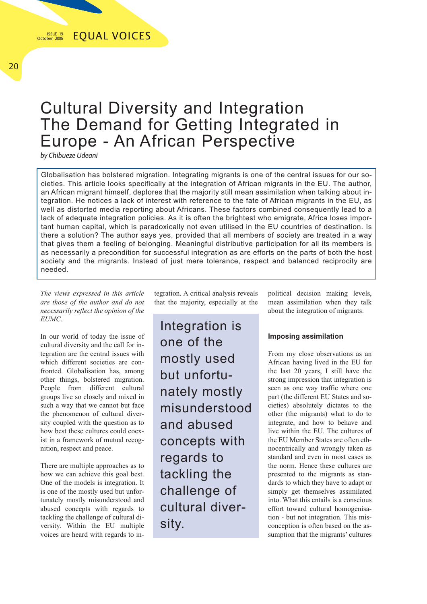## Cultural Diversity and Integration The Demand for Getting Integrated in Europe - An African Perspective

*by Chibueze Udeani*

Globalisation has bolstered migration. Integrating migrants is one of the central issues for our societies. This article looks specifically at the integration of African migrants in the EU. The author, an African migrant himself, deplores that the majority still mean assimilation when talking about integration. He notices a lack of interest with reference to the fate of African migrants in the EU, as well as distorted media reporting about Africans. These factors combined consequently lead to a lack of adequate integration policies. As it is often the brightest who emigrate, Africa loses important human capital, which is paradoxically not even utilised in the EU countries of destination. Is there a solution? The author says yes, provided that all members of society are treated in a way that gives them a feeling of belonging. Meaningful distributive participation for all its members is as necessarily a precondition for successful integration as are efforts on the parts of both the host society and the migrants. Instead of just mere tolerance, respect and balanced reciprocity are needed.

*The views expressed in this article are those of the author and do not necessarily reflect the opinion of the EUMC.*

In our world of today the issue of cultural diversity and the call for integration are the central issues with which different societies are confronted. Globalisation has, among other things, bolstered migration. People from different cultural groups live so closely and mixed in such a way that we cannot but face the phenomenon of cultural diversity coupled with the question as to how best these cultures could coexist in a framework of mutual recognition, respect and peace.

There are multiple approaches as to how we can achieve this goal best. One of the models is integration. It is one of the mostly used but unfortunately mostly misunderstood and abused concepts with regards to tackling the challenge of cultural diversity. Within the EU multiple voices are heard with regards to integration. A critical analysis reveals that the majority, especially at the

Integration is one of the mostly used but unfortunately mostly misunderstood and abused concepts with regards to tackling the challenge of cultural diversity.

political decision making levels, mean assimilation when they talk about the integration of migrants.

## **Imposing assimilation**

From my close observations as an African having lived in the EU for the last 20 years, I still have the strong impression that integration is seen as one way traffic where one part (the different EU States and societies) absolutely dictates to the other (the migrants) what to do to integrate, and how to behave and live within the EU. The cultures of the EU Member States are often ethnocentrically and wrongly taken as standard and even in most cases as the norm. Hence these cultures are presented to the migrants as standards to which they have to adapt or simply get themselves assimilated into. What this entails is a conscious effort toward cultural homogenisation - but not integration. This misconception is often based on the assumption that the migrants' cultures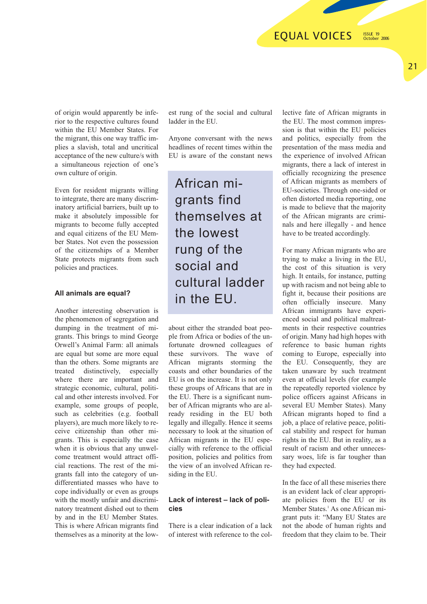ISSUE 19 October 2006

of origin would apparently be inferior to the respective cultures found within the EU Member States. For the migrant, this one way traffic implies a slavish, total and uncritical acceptance of the new culture/s with a simultaneous rejection of one's own culture of origin.

Even for resident migrants willing to integrate, there are many discriminatory artificial barriers, built up to make it absolutely impossible for migrants to become fully accepted and equal citizens of the EU Member States. Not even the possession of the citizenships of a Member State protects migrants from such policies and practices.

### **All animals are equal?**

Another interesting observation is the phenomenon of segregation and dumping in the treatment of migrants. This brings to mind George Orwell's Animal Farm: all animals are equal but some are more equal than the others. Some migrants are treated distinctively, especially where there are important and strategic economic, cultural, political and other interests involved. For example, some groups of people, such as celebrities (e.g. football players), are much more likely to receive citizenship than other migrants. This is especially the case when it is obvious that any unwelcome treatment would attract official reactions. The rest of the migrants fall into the category of undifferentiated masses who have to cope individually or even as groups with the mostly unfair and discriminatory treatment dished out to them by and in the EU Member States. This is where African migrants find themselves as a minority at the lowest rung of the social and cultural ladder in the EU.

Anyone conversant with the news headlines of recent times within the EU is aware of the constant news

African migrants find themselves at the lowest rung of the social and cultural ladder in the EU.

about either the stranded boat people from Africa or bodies of the unfortunate drowned colleagues of these survivors. The wave of African migrants storming the coasts and other boundaries of the EU is on the increase. It is not only these groups of Africans that are in the EU. There is a significant number of African migrants who are already residing in the EU both legally and illegally. Hence it seems necessary to look at the situation of African migrants in the EU especially with reference to the official position, policies and politics from the view of an involved African residing in the EU.

## **Lack of interest – lack of policies**

There is a clear indication of a lack of interest with reference to the collective fate of African migrants in the EU. The most common impression is that within the EU policies and politics, especially from the presentation of the mass media and the experience of involved African migrants, there a lack of interest in officially recognizing the presence of African migrants as members of EU-societies. Through one-sided or often distorted media reporting, one is made to believe that the majority of the African migrants are criminals and here illegally - and hence have to be treated accordingly.

For many African migrants who are trying to make a living in the EU, the cost of this situation is very high. It entails, for instance, putting up with racism and not being able to fight it, because their positions are often officially insecure. Many African immigrants have experienced social and political maltreatments in their respective countries of origin. Many had high hopes with reference to basic human rights coming to Europe, especially into the EU. Consequently, they are taken unaware by such treatment even at official levels (for example the repeatedly reported violence by police officers against Africans in several EU Member States). Many African migrants hoped to find a job, a place of relative peace, political stability and respect for human rights in the EU. But in reality, as a result of racism and other unnecessary woes, life is far tougher than they had expected.

In the face of all these miseries there is an evident lack of clear appropriate policies from the EU or its Member States.<sup>1</sup> As one African migrant puts it: "Many EU States are not the abode of human rights and freedom that they claim to be. Their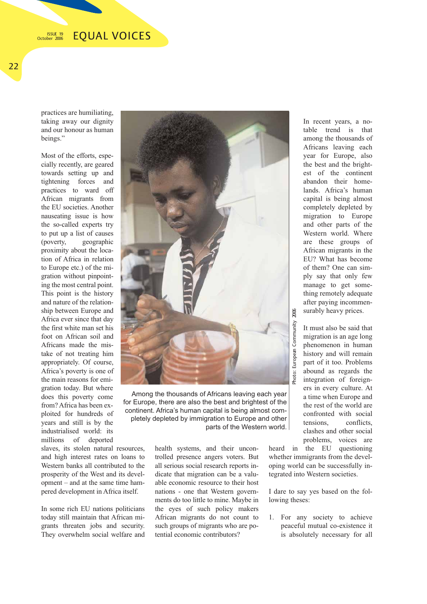#### **EOUAL VOICES** ISSUE 19 October 2006

practices are humiliating, taking away our dignity and our honour as human beings."

Most of the efforts, especially recently, are geared towards setting up and tightening forces and practices to ward off African migrants from the EU societies. Another nauseating issue is how the so-called experts try to put up a list of causes (poverty, geographic proximity about the location of Africa in relation to Europe etc.) of the migration without pinpointing the most central point. This point is the history and nature of the relationship between Europe and Africa ever since that day the first white man set his foot on African soil and Africans made the mistake of not treating him appropriately. Of course, Africa's poverty is one of the main reasons for emigration today. But where does this poverty come from? Africa has been exploited for hundreds of years and still is by the industrialised world: its millions of deported

slaves, its stolen natural resources, and high interest rates on loans to Western banks all contributed to the prosperity of the West and its development – and at the same time hampered development in Africa itself.

In some rich EU nations politicians today still maintain that African migrants threaten jobs and security. They overwhelm social welfare and



Among the thousands of Africans leaving each year for Europe, there are also the best and brightest of the continent. Africa's human capital is being almost completely depleted by immigration to Europe and other parts of the Western world.

> health systems, and their uncontrolled presence angers voters. But all serious social research reports indicate that migration can be a valuable economic resource to their host nations - one that Western governments do too little to mine. Maybe in the eyes of such policy makers African migrants do not count to such groups of migrants who are potential economic contributors?

In recent years, a notable trend is that among the thousands of Africans leaving each year for Europe, also the best and the brightest of the continent abandon their homelands. Africa's human capital is being almost completely depleted by migration to Europe and other parts of the Western world. Where are these groups of African migrants in the EU? What has become of them? One can simply say that only few manage to get something remotely adequate after paying incommensurably heavy prices.

It must also be said that migration is an age long phenomenon in human history and will remain part of it too. Problems abound as regards the integration of foreigners in every culture. At a time when Europe and the rest of the world are confronted with social tensions, conflicts, clashes and other social problems, voices are

heard in the EU questioning whether immigrants from the developing world can be successfully integrated into Western societies.

I dare to say yes based on the following theses:

1. For any society to achieve peaceful mutual co-existence it is absolutely necessary for all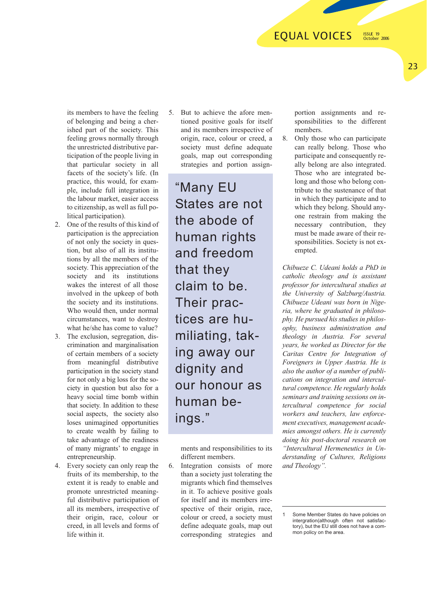## **EQUAL VOICES**

ISSUE 19 October 2006

its members to have the feeling of belonging and being a cherished part of the society. This feeling grows normally through the unrestricted distributive participation of the people living in that particular society in all facets of the society's life. (In practice, this would, for example, include full integration in the labour market, easier access to citizenship, as well as full political participation).

- 2. One of the results of this kind of participation is the appreciation of not only the society in question, but also of all its institutions by all the members of the society. This appreciation of the society and its institutions wakes the interest of all those involved in the upkeep of both the society and its institutions. Who would then, under normal circumstances, want to destroy what he/she has come to value?
- 3. The exclusion, segregation, discrimination and marginalisation of certain members of a society from meaningful distributive participation in the society stand for not only a big loss for the society in question but also for a heavy social time bomb within that society. In addition to these social aspects, the society also loses unimagined opportunities to create wealth by failing to take advantage of the readiness of many migrants' to engage in entrepreneurship.
- 4. Every society can only reap the fruits of its membership, to the extent it is ready to enable and promote unrestricted meaningful distributive participation of all its members, irrespective of their origin, race, colour or creed, in all levels and forms of life within it.

5. But to achieve the afore mentioned positive goals for itself and its members irrespective of origin, race, colour or creed, a society must define adequate goals, map out corresponding strategies and portion assign-

"Many EU States are not the abode of human rights and freedom that they claim to be. Their practices are humiliating, taking away our dignity and our honour as human beings."

ments and responsibilities to its different members.

6. Integration consists of more than a society just tolerating the migrants which find themselves in it. To achieve positive goals for itself and its members irrespective of their origin, race, colour or creed, a society must define adequate goals, map out corresponding strategies and portion assignments and responsibilities to the different members.

8. Only those who can participate can really belong. Those who participate and consequently really belong are also integrated. Those who are integrated belong and those who belong contribute to the sustenance of that in which they participate and to which they belong. Should anyone restrain from making the necessary contribution, they must be made aware of their responsibilities. Society is not exempted.

*Chibueze C. Udeani holds a PhD in catholic theology and is assistant professor for intercultural studies at the University of Salzburg/Austria. Chibueze Udeani was born in Nigeria, where he graduated in philosophy. He pursued his studies in philosophy, business administration and theology in Austria. For several years, he worked as Director for the Caritas Centre for Integration of Foreigners in Upper Austria. He is also the author of a number of publications on integration and intercultural competence. He regularly holds seminars and training sessions on intercultural competence for social workers and teachers, law enforcement executives, management academies amongst others. He is currently doing his post-doctoral research on "Intercultural Hermeneutics in Understanding of Cultures, Religions and Theology".*

23

Some Member States do have policies on intergration(although often not satisfactory), but the EU still does not have a common policy on the area.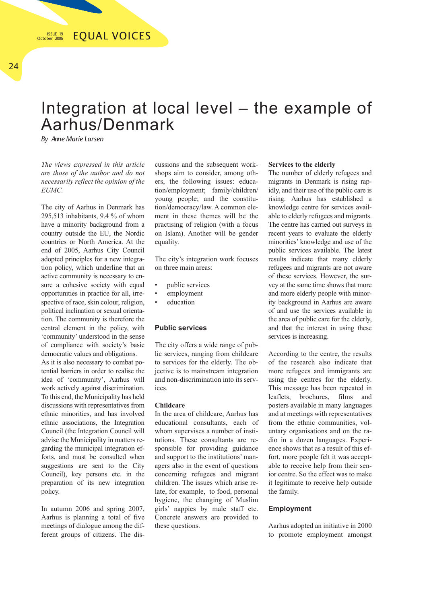## Integration at local level – the example of Aarhus/Denmark

*By Anne Marie Larsen*

*The views expressed in this article are those of the author and do not necessarily reflect the opinion of the EUMC.*

The city of Aarhus in Denmark has 295,513 inhabitants, 9.4 % of whom have a minority background from a country outside the EU, the Nordic countries or North America. At the end of 2005, Aarhus City Council adopted principles for a new integration policy, which underline that an active community is necessary to ensure a cohesive society with equal opportunities in practice for all, irrespective of race, skin colour, religion, political inclination or sexual orientation. The community is therefore the central element in the policy, with 'community' understood in the sense of compliance with society's basic democratic values and obligations.

As it is also necessary to combat potential barriers in order to realise the idea of 'community', Aarhus will work actively against discrimination. To this end, the Municipality has held discussions with representatives from ethnic minorities, and has involved ethnic associations, the Integration Council (the Integration Council will advise the Municipality in matters regarding the municipal integration efforts, and must be consulted when suggestions are sent to the City Council), key persons etc. in the preparation of its new integration policy.

In autumn 2006 and spring 2007, Aarhus is planning a total of five meetings of dialogue among the different groups of citizens. The dis-

cussions and the subsequent workshops aim to consider, among others, the following issues: education/employment; family/children/ young people; and the constitution/democracy/law. A common element in these themes will be the practising of religion (with a focus on Islam). Another will be gender equality.

The city's integration work focuses on three main areas:

- public services
- employment
- education

## **Public services**

The city offers a wide range of public services, ranging from childcare to services for the elderly. The objective is to mainstream integration and non-discrimination into its services.

### **Childcare**

In the area of childcare, Aarhus has educational consultants, each of whom supervises a number of institutions. These consultants are responsible for providing guidance and support to the institutions' managers also in the event of questions concerning refugees and migrant children. The issues which arise relate, for example, to food, personal hygiene, the changing of Muslim girls' nappies by male staff etc. Concrete answers are provided to these questions.

### **Services to the elderly**

The number of elderly refugees and migrants in Denmark is rising rapidly, and their use of the public care is rising. Aarhus has established a knowledge centre for services available to elderly refugees and migrants. The centre has carried out surveys in recent years to evaluate the elderly minorities' knowledge and use of the public services available. The latest results indicate that many elderly refugees and migrants are not aware of these services. However, the survey at the same time shows that more and more elderly people with minority background in Aarhus are aware of and use the services available in the area of public care for the elderly, and that the interest in using these services is increasing.

According to the centre, the results of the research also indicate that more refugees and immigrants are using the centres for the elderly. This message has been repeated in leaflets, brochures, films and posters available in many languages and at meetings with representatives from the ethnic communities, voluntary organisations and on the radio in a dozen languages. Experience shows that as a result of this effort, more people felt it was acceptable to receive help from their senior centre. So the effect was to make it legitimate to receive help outside the family.

### **Employment**

Aarhus adopted an initiative in 2000 to promote employment amongst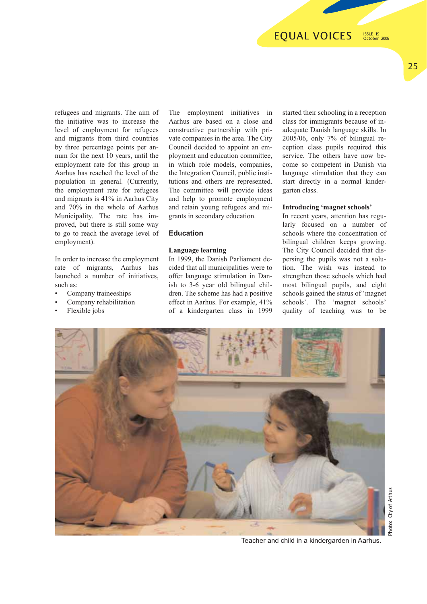## **EQUAL VOICES**

ISSUE 19 October 2006

25

refugees and migrants. The aim of the initiative was to increase the level of employment for refugees and migrants from third countries by three percentage points per annum for the next 10 years, until the employment rate for this group in Aarhus has reached the level of the population in general. (Currently, the employment rate for refugees and migrants is 41% in Aarhus City and 70% in the whole of Aarhus Municipality. The rate has improved, but there is still some way to go to reach the average level of employment).

In order to increase the employment rate of migrants, Aarhus has launched a number of initiatives, such as:

- Company traineeships
- Company rehabilitation
- Flexible jobs

The employment initiatives in Aarhus are based on a close and constructive partnership with private companies in the area. The City Council decided to appoint an employment and education committee, in which role models, companies, the Integration Council, public institutions and others are represented. The committee will provide ideas and help to promote employment and retain young refugees and migrants in secondary education.

## **Education**

### **Language learning**

In 1999, the Danish Parliament decided that all municipalities were to offer language stimulation in Danish to 3-6 year old bilingual children. The scheme has had a positive effect in Aarhus. For example, 41% of a kindergarten class in 1999 started their schooling in a reception class for immigrants because of inadequate Danish language skills. In 2005/06, only 7% of bilingual reception class pupils required this service. The others have now become so competent in Danish via language stimulation that they can start directly in a normal kindergarten class.

### **Introducing 'magnet schools'**

In recent years, attention has regularly focused on a number of schools where the concentration of bilingual children keeps growing. The City Council decided that dispersing the pupils was not a solution. The wish was instead to strengthen those schools which had most bilingual pupils, and eight schools gained the status of 'magnet schools'. The 'magnet schools' quality of teaching was to be



Teacher and child in a kindergarden in Aarhus.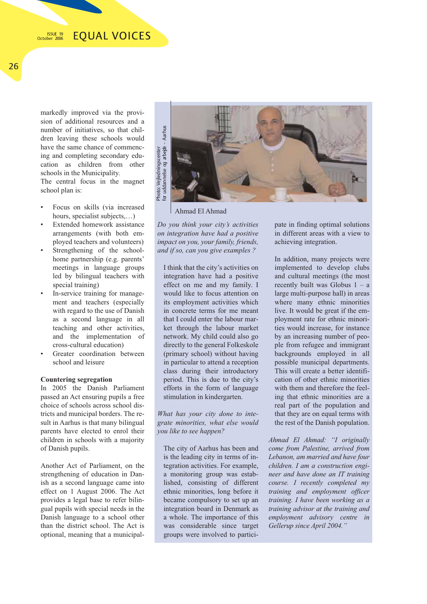markedly improved via the provision of additional resources and a number of initiatives, so that children leaving these schools would have the same chance of commencing and completing secondary education as children from other schools in the Municipality. The central focus in the magnet school plan is:

- Focus on skills (via increased hours, specialist subjects,…)
- Extended homework assistance arrangements (with both employed teachers and volunteers)
- Strengthening of the schoolhome partnership (e.g. parents' meetings in language groups led by bilingual teachers with special training)
- In-service training for management and teachers (especially with regard to the use of Danish as a second language in all teaching and other activities, and the implementation of cross-cultural education)
- Greater coordination between school and leisure

### **Countering segregation**

In 2005 the Danish Parliament passed an Act ensuring pupils a free choice of schools across school districts and municipal borders. The result in Aarhus is that many bilingual parents have elected to enrol their children in schools with a majority of Danish pupils.

Another Act of Parliament, on the strengthening of education in Danish as a second language came into effect on 1 August 2006. The Act provides a legal base to refer bilingual pupils with special needs in the Danish language to a school other than the district school. The Act is optional, meaning that a municipal-



Ahmad El Ahmad

*Do you think your city's activities on integration have had a positive impact on you, your family, friends, and if so, can you give examples ?*

I think that the city's activities on integration have had a positive effect on me and my family. I would like to focus attention on its employment activities which in concrete terms for me meant that I could enter the labour market through the labour market network. My child could also go directly to the general Folkeskole (primary school) without having in particular to attend a reception class during their introductory period. This is due to the city's efforts in the form of language stimulation in kindergarten.

*What has your city done to integrate minorities, what else would you like to see happen?*

The city of Aarhus has been and is the leading city in terms of integration activities. For example, a monitoring group was established, consisting of different ethnic minorities, long before it became compulsory to set up an integration board in Denmark as a whole. The importance of this was considerable since target groups were involved to participate in finding optimal solutions in different areas with a view to achieving integration.

In addition, many projects were implemented to develop clubs and cultural meetings (the most recently built was Globus  $1 - a$ large multi-purpose hall) in areas where many ethnic minorities live. It would be great if the employment rate for ethnic minorities would increase, for instance by an increasing number of people from refugee and immigrant backgrounds employed in all possible municipal departments. This will create a better identification of other ethnic minorities with them and therefore the feeling that ethnic minorities are a real part of the population and that they are on equal terms with the rest of the Danish population.

*Ahmad El Ahmad: "I originally come from Palestine, arrived from Lebanon, am married and have four children. I am a construction engineer and have done an IT training course. I recently completed my training and employment officer training. I have been working as a training advisor at the training and employment advisory centre in Gellerup since April 2004."*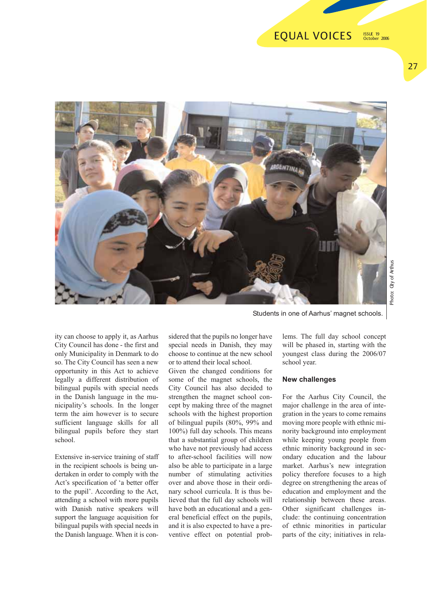#### **EQUAL VOICES** ISSUE 19 October 2006

27



ity can choose to apply it, as Aarhus City Council has done - the first and only Municipality in Denmark to do so. The City Council has seen a new opportunity in this Act to achieve legally a different distribution of bilingual pupils with special needs in the Danish language in the municipality's schools. In the longer term the aim however is to secure sufficient language skills for all bilingual pupils before they start school.

Extensive in-service training of staff in the recipient schools is being undertaken in order to comply with the Act's specification of 'a better offer to the pupil'. According to the Act, attending a school with more pupils with Danish native speakers will support the language acquisition for bilingual pupils with special needs in the Danish language. When it is con-

sidered that the pupils no longer have special needs in Danish, they may choose to continue at the new school or to attend their local school.

Given the changed conditions for some of the magnet schools, the City Council has also decided to strengthen the magnet school concept by making three of the magnet schools with the highest proportion of bilingual pupils (80%, 99% and 100%) full day schools. This means that a substantial group of children who have not previously had access to after-school facilities will now also be able to participate in a large number of stimulating activities over and above those in their ordinary school curricula. It is thus believed that the full day schools will have both an educational and a general beneficial effect on the pupils, and it is also expected to have a preventive effect on potential prob-

Students in one of Aarhus' magnet schools.

lems. The full day school concept will be phased in, starting with the youngest class during the 2006/07 school year.

### **New challenges**

For the Aarhus City Council, the major challenge in the area of integration in the years to come remains moving more people with ethnic minority background into employment while keeping young people from ethnic minority background in secondary education and the labour market. Aarhus's new integration policy therefore focuses to a high degree on strengthening the areas of education and employment and the relationship between these areas. Other significant challenges include: the continuing concentration of ethnic minorities in particular parts of the city; initiatives in rela-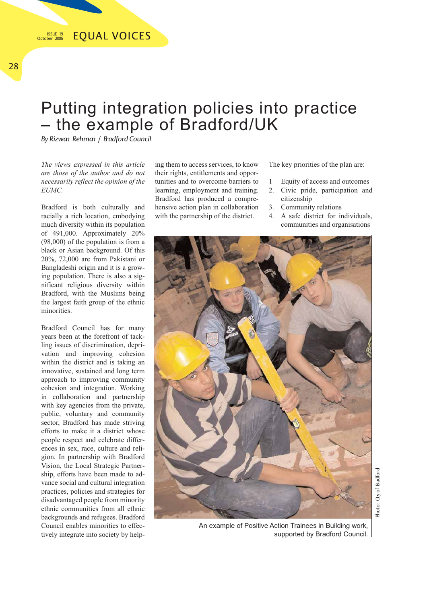## Putting integration policies into practice – the example of Bradford/UK

*By Rizwan Rehman / Bradford Council*

*The views expressed in this article are those of the author and do not necessarily reflect the opinion of the EUMC.*

Bradford is both culturally and racially a rich location, embodying much diversity within its population of 491,000. Approximately 20% (98,000) of the population is from a black or Asian background. Of this 20%, 72,000 are from Pakistani or Bangladeshi origin and it is a growing population. There is also a significant religious diversity within Bradford, with the Muslims being the largest faith group of the ethnic minorities.

Bradford Council has for many years been at the forefront of tackling issues of discrimination, deprivation and improving cohesion within the district and is taking an innovative, sustained and long term approach to improving community cohesion and integration. Working in collaboration and partnership with key agencies from the private, public, voluntary and community sector, Bradford has made striving efforts to make it a district whose people respect and celebrate differences in sex, race, culture and religion. In partnership with Bradford Vision, the Local Strategic Partnership, efforts have been made to advance social and cultural integration practices, policies and strategies for disadvantaged people from minority ethnic communities from all ethnic backgrounds and refugees. Bradford Council enables minorities to effectively integrate into society by helping them to access services, to know their rights, entitlements and opportunities and to overcome barriers to learning, employment and training. Bradford has produced a comprehensive action plan in collaboration with the partnership of the district.

The key priorities of the plan are:

- 1 Equity of access and outcomes
- 2. Civic pride, participation and citizenship
- 3. Community relations
- 4. A safe district for individuals, communities and organisations



An example of Positive Action Trainees in Building work, supported by Bradford Council.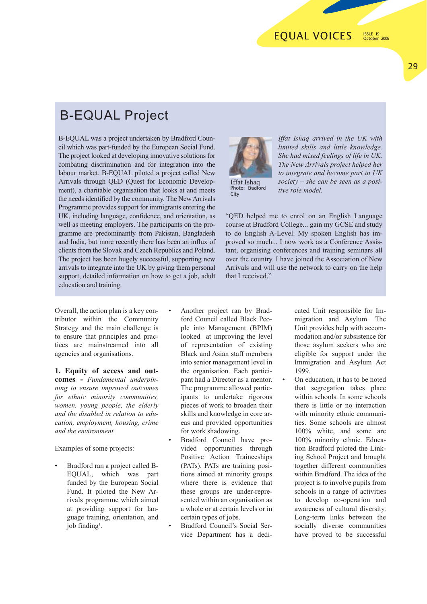29

## B-EQUAL Project

B-EQUAL was a project undertaken by Bradford Council which was part-funded by the European Social Fund. The project looked at developing innovative solutions for combating discrimination and for integration into the labour market. B-EQUAL piloted a project called New Arrivals through QED (Quest for Economic Development), a charitable organisation that looks at and meets the needs identified by the community. The New Arrivals Programme provides support for immigrants entering the UK, including language, confidence, and orientation, as well as meeting employers. The participants on the programme are predominantly from Pakistan, Bangladesh and India, but more recently there has been an influx of clients from the Slovak and Czech Republics and Poland. The project has been hugely successful, supporting new arrivals to integrate into the UK by giving them personal support, detailed information on how to get a job, adult education and training.



Iffat Ishaq Photo: Bradford City

*Iffat Ishaq arrived in the UK with limited skills and little knowledge. She had mixed feelings of life in UK. The New Arrivals project helped her to integrate and become part in UK society – she can be seen as a positive role model.*

"QED helped me to enrol on an English Language course at Bradford College... gain my GCSE and study to do English A-Level. My spoken English has improved so much... I now work as a Conference Assistant, organising conferences and training seminars all over the country. I have joined the Association of New Arrivals and will use the network to carry on the help that I received."

Overall, the action plan is a key contributor within the Community Strategy and the main challenge is to ensure that principles and practices are mainstreamed into all agencies and organisations.

**1. Equity of access and outcomes -** *Fundamental underpinning to ensure improved outcomes for ethnic minority communities, women, young people, the elderly and the disabled in relation to education, employment, housing, crime and the environment.* 

Examples of some projects:

- Bradford ran a project called B-EQUAL, which was part funded by the European Social Fund. It piloted the New Arrivals programme which aimed at providing support for language training, orientation, and job finding<sup>1</sup>.
- Another project ran by Bradford Council called Black People into Management (BPIM) looked at improving the level of representation of existing Black and Asian staff members into senior management level in the organisation. Each participant had a Director as a mentor. The programme allowed participants to undertake rigorous pieces of work to broaden their skills and knowledge in core areas and provided opportunities for work shadowing.
- Bradford Council have provided opportunities through Positive Action Traineeships (PATs). PATs are training positions aimed at minority groups where there is evidence that these groups are under-represented within an organisation as a whole or at certain levels or in certain types of jobs.
- Bradford Council's Social Service Department has a dedi-

cated Unit responsible for Immigration and Asylum. The Unit provides help with accommodation and/or subsistence for those asylum seekers who are eligible for support under the Immigration and Asylum Act 1999.

On education, it has to be noted that segregation takes place within schools. In some schools there is little or no interaction with minority ethnic communities. Some schools are almost 100% white, and some are 100% minority ethnic. Education Bradford piloted the Linking School Project and brought together different communities within Bradford. The idea of the project is to involve pupils from schools in a range of activities to develop co-operation and awareness of cultural diversity. Long-term links between the socially diverse communities have proved to be successful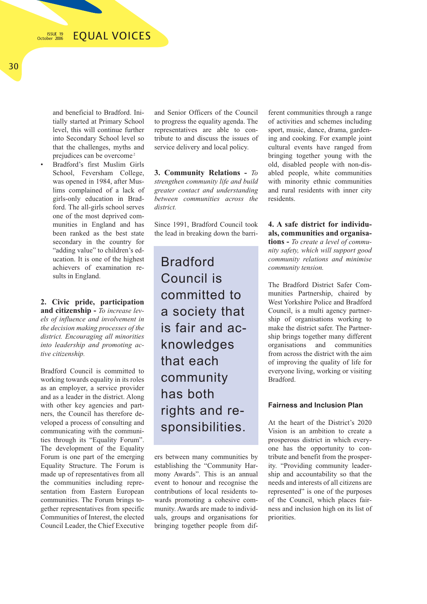**EQUAL VOICES** ISSUE 19 October 2006

and beneficial to Bradford. Initially started at Primary School level, this will continue further into Secondary School level so that the challenges, myths and prejudices can be overcome<sup>2</sup>

• Bradford's first Muslim Girls School, Feversham College. was opened in 1984, after Muslims complained of a lack of girls-only education in Bradford. The all-girls school serves one of the most deprived communities in England and has been ranked as the best state secondary in the country for "adding value" to children's education. It is one of the highest achievers of examination results in England.

**2. Civic pride, participation and citizenship -** *To increase levels of influence and involvement in the decision making processes of the district. Encouraging all minorities into leadership and promoting active citizenship.* 

Bradford Council is committed to working towards equality in its roles as an employer, a service provider and as a leader in the district. Along with other key agencies and partners, the Council has therefore developed a process of consulting and communicating with the communities through its "Equality Forum". The development of the Equality Forum is one part of the emerging Equality Structure. The Forum is made up of representatives from all the communities including representation from Eastern European communities. The Forum brings together representatives from specific Communities of Interest, the elected Council Leader, the Chief Executive

and Senior Officers of the Council to progress the equality agenda. The representatives are able to contribute to and discuss the issues of service delivery and local policy.

**3. Community Relations -** *To strengthen community life and build greater contact and understanding between communities across the district.* 

Since 1991, Bradford Council took the lead in breaking down the barri-

Bradford Council is committed to a society that is fair and acknowledges that each community has both rights and responsibilities.

ers between many communities by establishing the "Community Harmony Awards". This is an annual event to honour and recognise the contributions of local residents towards promoting a cohesive community. Awards are made to individuals, groups and organisations for bringing together people from dif-

ferent communities through a range of activities and schemes including sport, music, dance, drama, gardening and cooking. For example joint cultural events have ranged from bringing together young with the old, disabled people with non-disabled people, white communities with minority ethnic communities and rural residents with inner city residents.

## **4. A safe district for individuals, communities and organisations -** *To create a level of commu-*

*nity safety, which will support good community relations and minimise community tension.*

The Bradford District Safer Communities Partnership, chaired by West Yorkshire Police and Bradford Council, is a multi agency partnership of organisations working to make the district safer. The Partnership brings together many different organisations and communities from across the district with the aim of improving the quality of life for everyone living, working or visiting Bradford.

## **Fairness and Inclusion Plan**

At the heart of the District's 2020 Vision is an ambition to create a prosperous district in which everyone has the opportunity to contribute and benefit from the prosperity. "Providing community leadership and accountability so that the needs and interests of all citizens are represented" is one of the purposes of the Council, which places fairness and inclusion high on its list of priorities.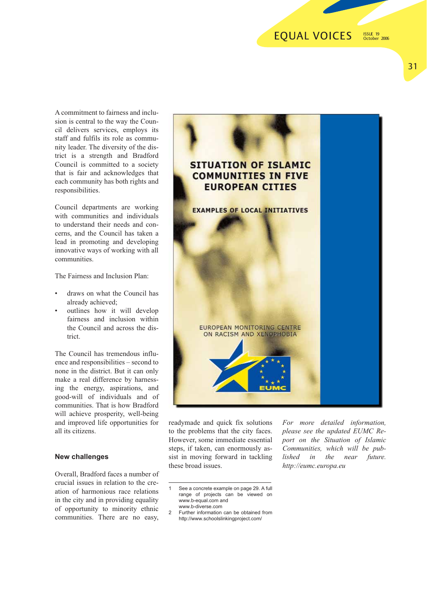## **EQUAL VOICES**

ISSUE 19 October 2006

31

A commitment to fairness and inclusion is central to the way the Council delivers services, employs its staff and fulfils its role as community leader. The diversity of the district is a strength and Bradford Council is committed to a society that is fair and acknowledges that each community has both rights and responsibilities.

Council departments are working with communities and individuals to understand their needs and concerns, and the Council has taken a lead in promoting and developing innovative ways of working with all communities.

The Fairness and Inclusion Plan:

- draws on what the Council has already achieved;
- outlines how it will develop fairness and inclusion within the Council and across the district.

The Council has tremendous influence and responsibilities – second to none in the district. But it can only make a real difference by harnessing the energy, aspirations, and good-will of individuals and of communities. That is how Bradford will achieve prosperity, well-being and improved life opportunities for all its citizens.

### **New challenges**

Overall, Bradford faces a number of crucial issues in relation to the creation of harmonious race relations in the city and in providing equality of opportunity to minority ethnic communities. There are no easy,



readymade and quick fix solutions to the problems that the city faces. However, some immediate essential steps, if taken, can enormously assist in moving forward in tackling these broad issues.

*For more detailed information, please see the updated EUMC Report on the Situation of Islamic Communities, which will be published in the near future. http://eumc.europa.eu*

See a concrete example on page 29. A full

range of projects can be viewed on www.b-equal.com and www.b-diverse.com

<sup>2</sup> Further information can be obtained from http://www.schoolslinkingproject.com/